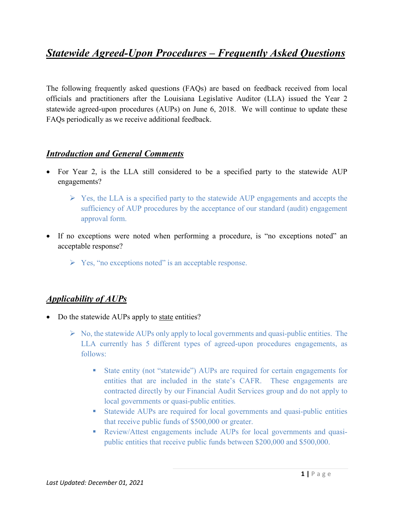# *Statewide Agreed-Upon Procedures – Frequently Asked Questions*

The following frequently asked questions (FAQs) are based on feedback received from local officials and practitioners after the Louisiana Legislative Auditor (LLA) issued the Year 2 statewide agreed-upon procedures (AUPs) on June 6, 2018. We will continue to update these FAQs periodically as we receive additional feedback.

#### *Introduction and General Comments*

- For Year 2, is the LLA still considered to be a specified party to the statewide AUP engagements?
	- $\triangleright$  Yes, the LLA is a specified party to the statewide AUP engagements and accepts the sufficiency of AUP procedures by the acceptance of our standard (audit) engagement approval form.
- If no exceptions were noted when performing a procedure, is "no exceptions noted" an acceptable response?
	- $\triangleright$  Yes, "no exceptions noted" is an acceptable response.

#### *Applicability of AUPs*

- Do the statewide AUPs apply to state entities?
	- $\triangleright$  No, the statewide AUPs only apply to local governments and quasi-public entities. The LLA currently has 5 different types of agreed-upon procedures engagements, as follows:
		- State entity (not "statewide") AUPs are required for certain engagements for entities that are included in the state's CAFR. These engagements are contracted directly by our Financial Audit Services group and do not apply to local governments or quasi-public entities.
		- Statewide AUPs are required for local governments and quasi-public entities that receive public funds of \$500,000 or greater.
		- Review/Attest engagements include AUPs for local governments and quasipublic entities that receive public funds between \$200,000 and \$500,000.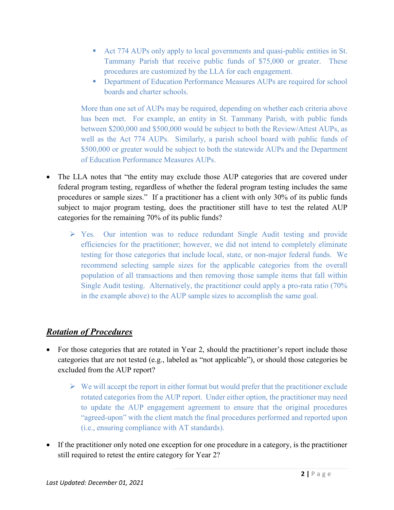- Act 774 AUPs only apply to local governments and quasi-public entities in St. Tammany Parish that receive public funds of \$75,000 or greater. These procedures are customized by the LLA for each engagement.
- **Department of Education Performance Measures AUPs are required for school** boards and charter schools.

More than one set of AUPs may be required, depending on whether each criteria above has been met. For example, an entity in St. Tammany Parish, with public funds between \$200,000 and \$500,000 would be subject to both the Review/Attest AUPs, as well as the Act 774 AUPs. Similarly, a parish school board with public funds of \$500,000 or greater would be subject to both the statewide AUPs and the Department of Education Performance Measures AUPs.

- The LLA notes that "the entity may exclude those AUP categories that are covered under federal program testing, regardless of whether the federal program testing includes the same procedures or sample sizes." If a practitioner has a client with only 30% of its public funds subject to major program testing, does the practitioner still have to test the related AUP categories for the remaining 70% of its public funds?
	- $\triangleright$  Yes. Our intention was to reduce redundant Single Audit testing and provide efficiencies for the practitioner; however, we did not intend to completely eliminate testing for those categories that include local, state, or non-major federal funds. We recommend selecting sample sizes for the applicable categories from the overall population of all transactions and then removing those sample items that fall within Single Audit testing. Alternatively, the practitioner could apply a pro-rata ratio (70% in the example above) to the AUP sample sizes to accomplish the same goal.

## *Rotation of Procedures*

- For those categories that are rotated in Year 2, should the practitioner's report include those categories that are not tested (e.g., labeled as "not applicable"), or should those categories be excluded from the AUP report?
	- $\triangleright$  We will accept the report in either format but would prefer that the practitioner exclude rotated categories from the AUP report. Under either option, the practitioner may need to update the AUP engagement agreement to ensure that the original procedures "agreed-upon" with the client match the final procedures performed and reported upon (i.e., ensuring compliance with AT standards).
- If the practitioner only noted one exception for one procedure in a category, is the practitioner still required to retest the entire category for Year 2?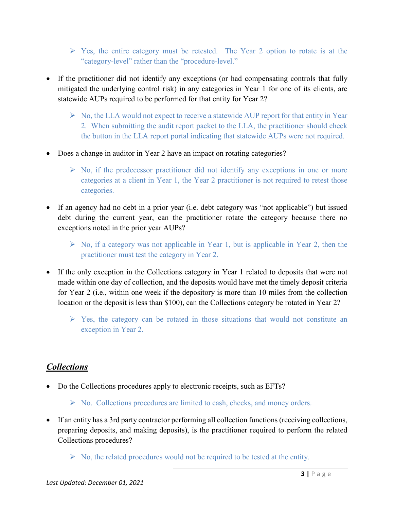- $\triangleright$  Yes, the entire category must be retested. The Year 2 option to rotate is at the "category-level" rather than the "procedure-level."
- If the practitioner did not identify any exceptions (or had compensating controls that fully mitigated the underlying control risk) in any categories in Year 1 for one of its clients, are statewide AUPs required to be performed for that entity for Year 2?
	- $\triangleright$  No, the LLA would not expect to receive a statewide AUP report for that entity in Year 2. When submitting the audit report packet to the LLA, the practitioner should check the button in the LLA report portal indicating that statewide AUPs were not required.
- Does a change in auditor in Year 2 have an impact on rotating categories?
	- $\triangleright$  No, if the predecessor practitioner did not identify any exceptions in one or more categories at a client in Year 1, the Year 2 practitioner is not required to retest those categories.
- If an agency had no debt in a prior year (i.e. debt category was "not applicable") but issued debt during the current year, can the practitioner rotate the category because there no exceptions noted in the prior year AUPs?
	- $\triangleright$  No, if a category was not applicable in Year 1, but is applicable in Year 2, then the practitioner must test the category in Year 2.
- If the only exception in the Collections category in Year 1 related to deposits that were not made within one day of collection, and the deposits would have met the timely deposit criteria for Year 2 (i.e., within one week if the depository is more than 10 miles from the collection location or the deposit is less than \$100), can the Collections category be rotated in Year 2?
	- $\triangleright$  Yes, the category can be rotated in those situations that would not constitute an exception in Year 2.

#### *Collections*

- Do the Collections procedures apply to electronic receipts, such as EFTs?
	- $\triangleright$  No. Collections procedures are limited to cash, checks, and money orders.
- If an entity has a 3rd party contractor performing all collection functions (receiving collections, preparing deposits, and making deposits), is the practitioner required to perform the related Collections procedures?
	- $\triangleright$  No, the related procedures would not be required to be tested at the entity.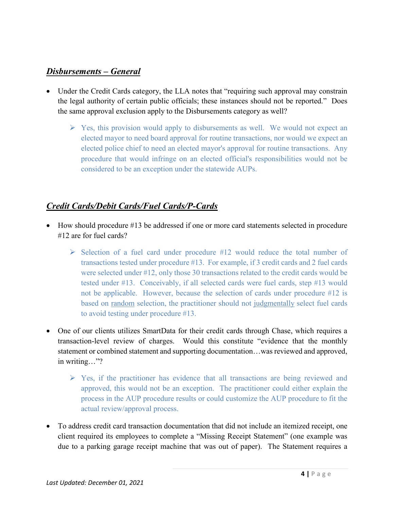#### *Disbursements – General*

- Under the Credit Cards category, the LLA notes that "requiring such approval may constrain the legal authority of certain public officials; these instances should not be reported." Does the same approval exclusion apply to the Disbursements category as well?
	- $\triangleright$  Yes, this provision would apply to disbursements as well. We would not expect an elected mayor to need board approval for routine transactions, nor would we expect an elected police chief to need an elected mayor's approval for routine transactions. Any procedure that would infringe on an elected official's responsibilities would not be considered to be an exception under the statewide AUPs.

## *Credit Cards/Debit Cards/Fuel Cards/P-Cards*

- How should procedure #13 be addressed if one or more card statements selected in procedure #12 are for fuel cards?
	- $\triangleright$  Selection of a fuel card under procedure #12 would reduce the total number of transactions tested under procedure #13. For example, if 3 credit cards and 2 fuel cards were selected under #12, only those 30 transactions related to the credit cards would be tested under #13. Conceivably, if all selected cards were fuel cards, step #13 would not be applicable. However, because the selection of cards under procedure #12 is based on random selection, the practitioner should not judgmentally select fuel cards to avoid testing under procedure #13.
- One of our clients utilizes SmartData for their credit cards through Chase, which requires a transaction-level review of charges. Would this constitute "evidence that the monthly statement or combined statement and supporting documentation…was reviewed and approved, in writing…"?
	- $\triangleright$  Yes, if the practitioner has evidence that all transactions are being reviewed and approved, this would not be an exception. The practitioner could either explain the process in the AUP procedure results or could customize the AUP procedure to fit the actual review/approval process.
- To address credit card transaction documentation that did not include an itemized receipt, one client required its employees to complete a "Missing Receipt Statement" (one example was due to a parking garage receipt machine that was out of paper). The Statement requires a